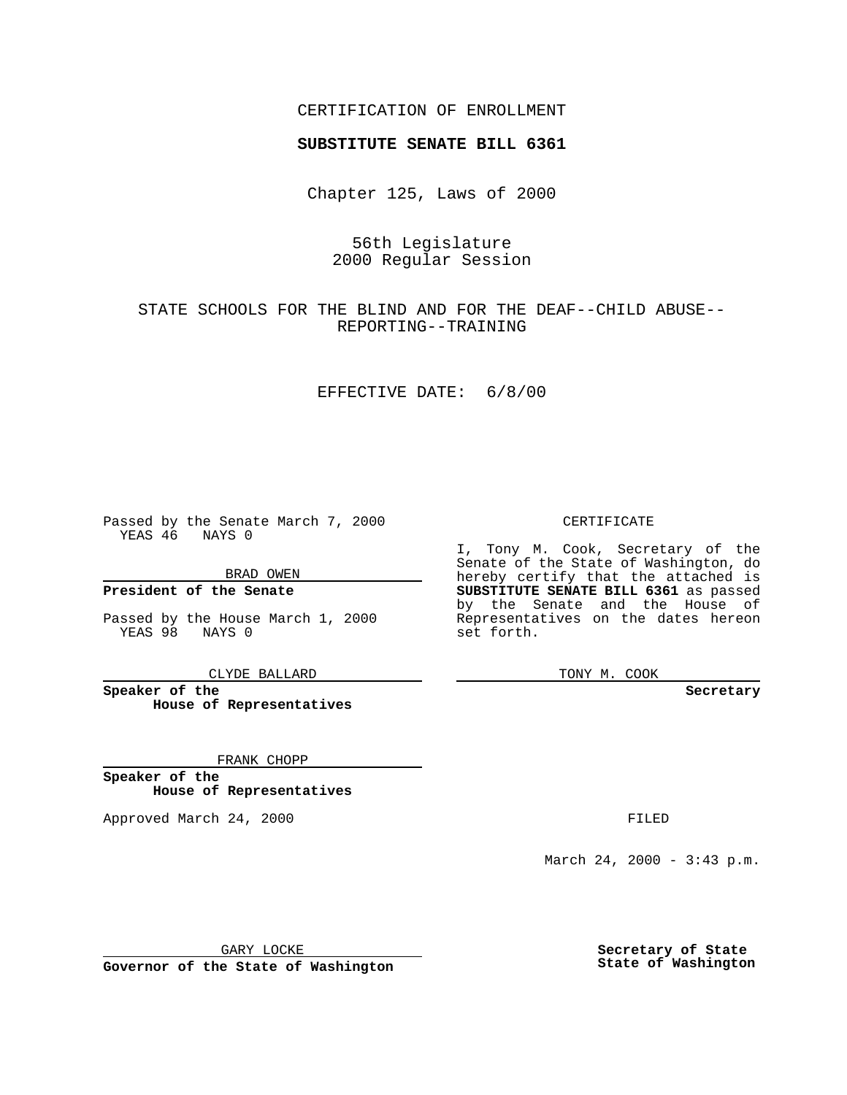## CERTIFICATION OF ENROLLMENT

# **SUBSTITUTE SENATE BILL 6361**

Chapter 125, Laws of 2000

56th Legislature 2000 Regular Session

STATE SCHOOLS FOR THE BLIND AND FOR THE DEAF--CHILD ABUSE-- REPORTING--TRAINING

#### EFFECTIVE DATE: 6/8/00

Passed by the Senate March 7, 2000 YEAS 46 NAYS 0

BRAD OWEN

**President of the Senate**

Passed by the House March 1, 2000 YEAS 98 NAYS 0

CLYDE BALLARD

**Speaker of the House of Representatives**

FRANK CHOPP

**Speaker of the House of Representatives**

Approved March 24, 2000 FILED

#### CERTIFICATE

I, Tony M. Cook, Secretary of the Senate of the State of Washington, do hereby certify that the attached is **SUBSTITUTE SENATE BILL 6361** as passed by the Senate and the House of Representatives on the dates hereon set forth.

TONY M. COOK

**Secretary**

March 24, 2000 - 3:43 p.m.

GARY LOCKE

**Governor of the State of Washington**

**Secretary of State State of Washington**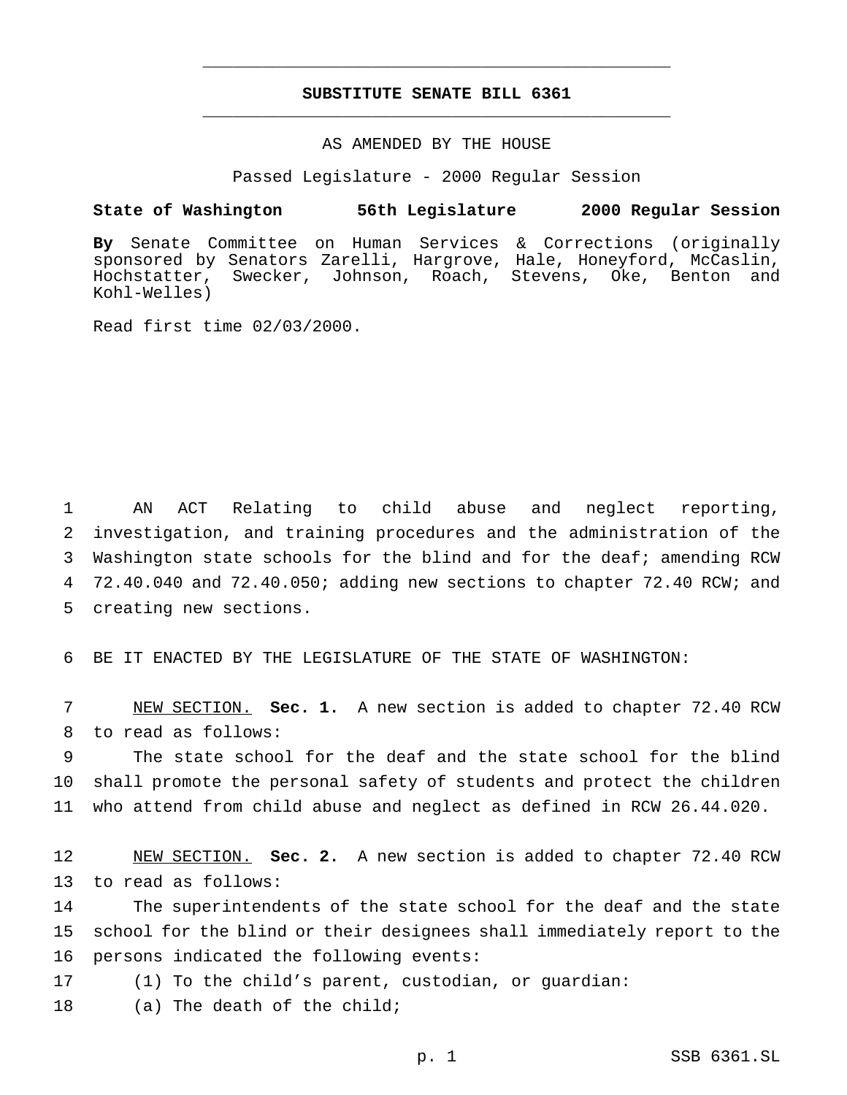## **SUBSTITUTE SENATE BILL 6361** \_\_\_\_\_\_\_\_\_\_\_\_\_\_\_\_\_\_\_\_\_\_\_\_\_\_\_\_\_\_\_\_\_\_\_\_\_\_\_\_\_\_\_\_\_\_\_

\_\_\_\_\_\_\_\_\_\_\_\_\_\_\_\_\_\_\_\_\_\_\_\_\_\_\_\_\_\_\_\_\_\_\_\_\_\_\_\_\_\_\_\_\_\_\_

### AS AMENDED BY THE HOUSE

Passed Legislature - 2000 Regular Session

#### **State of Washington 56th Legislature 2000 Regular Session**

**By** Senate Committee on Human Services & Corrections (originally sponsored by Senators Zarelli, Hargrove, Hale, Honeyford, McCaslin, Hochstatter, Swecker, Johnson, Roach, Stevens, Oke, Benton and Kohl-Welles)

Read first time 02/03/2000.

 AN ACT Relating to child abuse and neglect reporting, investigation, and training procedures and the administration of the Washington state schools for the blind and for the deaf; amending RCW 72.40.040 and 72.40.050; adding new sections to chapter 72.40 RCW; and creating new sections.

6 BE IT ENACTED BY THE LEGISLATURE OF THE STATE OF WASHINGTON:

7 NEW SECTION. **Sec. 1.** A new section is added to chapter 72.40 RCW 8 to read as follows:

9 The state school for the deaf and the state school for the blind 10 shall promote the personal safety of students and protect the children 11 who attend from child abuse and neglect as defined in RCW 26.44.020.

12 NEW SECTION. **Sec. 2.** A new section is added to chapter 72.40 RCW 13 to read as follows:

14 The superintendents of the state school for the deaf and the state 15 school for the blind or their designees shall immediately report to the 16 persons indicated the following events:

17 (1) To the child's parent, custodian, or guardian:

18 (a) The death of the child;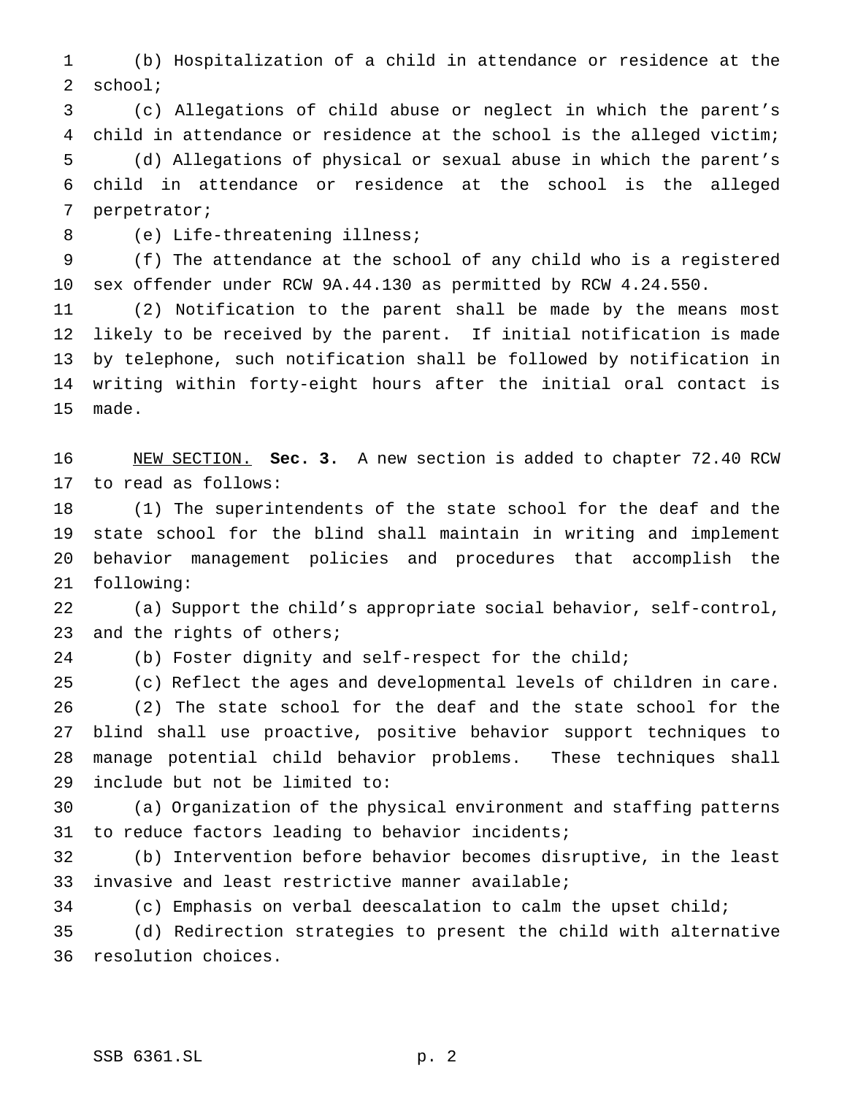(b) Hospitalization of a child in attendance or residence at the school;

 (c) Allegations of child abuse or neglect in which the parent's child in attendance or residence at the school is the alleged victim; (d) Allegations of physical or sexual abuse in which the parent's child in attendance or residence at the school is the alleged perpetrator;

(e) Life-threatening illness;

 (f) The attendance at the school of any child who is a registered sex offender under RCW 9A.44.130 as permitted by RCW 4.24.550.

 (2) Notification to the parent shall be made by the means most likely to be received by the parent. If initial notification is made by telephone, such notification shall be followed by notification in writing within forty-eight hours after the initial oral contact is made.

 NEW SECTION. **Sec. 3.** A new section is added to chapter 72.40 RCW to read as follows:

 (1) The superintendents of the state school for the deaf and the state school for the blind shall maintain in writing and implement behavior management policies and procedures that accomplish the following:

 (a) Support the child's appropriate social behavior, self-control, 23 and the rights of others;

(b) Foster dignity and self-respect for the child;

 (c) Reflect the ages and developmental levels of children in care. (2) The state school for the deaf and the state school for the blind shall use proactive, positive behavior support techniques to manage potential child behavior problems. These techniques shall include but not be limited to:

 (a) Organization of the physical environment and staffing patterns to reduce factors leading to behavior incidents;

 (b) Intervention before behavior becomes disruptive, in the least invasive and least restrictive manner available;

(c) Emphasis on verbal deescalation to calm the upset child;

 (d) Redirection strategies to present the child with alternative resolution choices.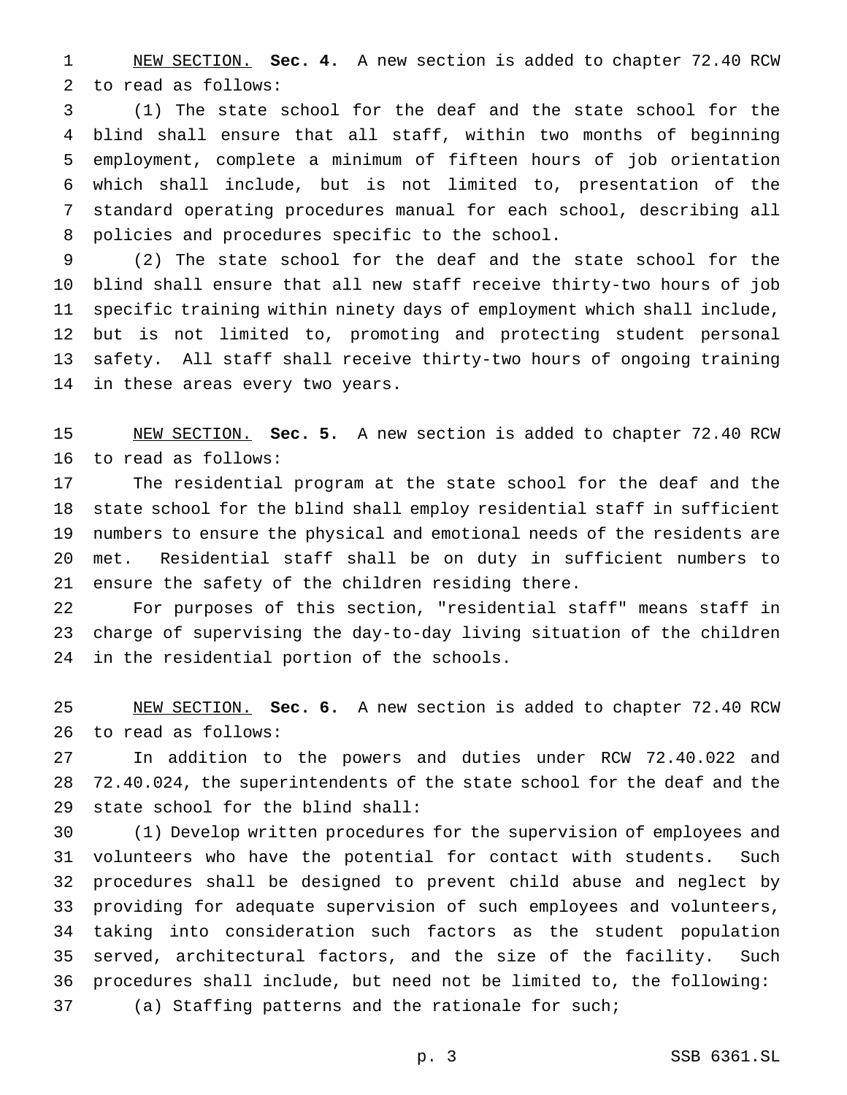NEW SECTION. **Sec. 4.** A new section is added to chapter 72.40 RCW to read as follows:

 (1) The state school for the deaf and the state school for the blind shall ensure that all staff, within two months of beginning employment, complete a minimum of fifteen hours of job orientation which shall include, but is not limited to, presentation of the standard operating procedures manual for each school, describing all policies and procedures specific to the school.

 (2) The state school for the deaf and the state school for the blind shall ensure that all new staff receive thirty-two hours of job specific training within ninety days of employment which shall include, but is not limited to, promoting and protecting student personal safety. All staff shall receive thirty-two hours of ongoing training in these areas every two years.

 NEW SECTION. **Sec. 5.** A new section is added to chapter 72.40 RCW to read as follows:

 The residential program at the state school for the deaf and the state school for the blind shall employ residential staff in sufficient numbers to ensure the physical and emotional needs of the residents are met. Residential staff shall be on duty in sufficient numbers to ensure the safety of the children residing there.

 For purposes of this section, "residential staff" means staff in charge of supervising the day-to-day living situation of the children in the residential portion of the schools.

 NEW SECTION. **Sec. 6.** A new section is added to chapter 72.40 RCW to read as follows:

 In addition to the powers and duties under RCW 72.40.022 and 72.40.024, the superintendents of the state school for the deaf and the state school for the blind shall:

 (1) Develop written procedures for the supervision of employees and volunteers who have the potential for contact with students. Such procedures shall be designed to prevent child abuse and neglect by providing for adequate supervision of such employees and volunteers, taking into consideration such factors as the student population served, architectural factors, and the size of the facility. Such procedures shall include, but need not be limited to, the following: 37 (a) Staffing patterns and the rationale for such;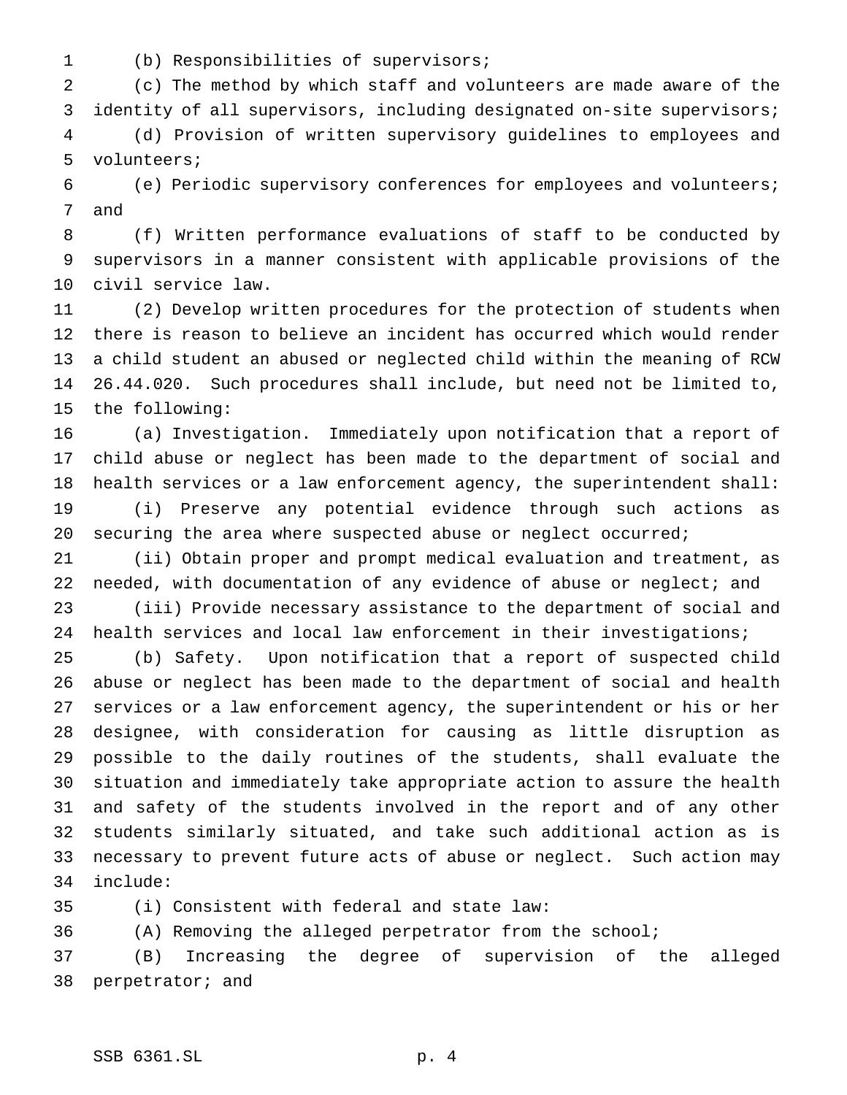(b) Responsibilities of supervisors;

 (c) The method by which staff and volunteers are made aware of the identity of all supervisors, including designated on-site supervisors; (d) Provision of written supervisory guidelines to employees and volunteers;

 (e) Periodic supervisory conferences for employees and volunteers; and

 (f) Written performance evaluations of staff to be conducted by supervisors in a manner consistent with applicable provisions of the civil service law.

 (2) Develop written procedures for the protection of students when there is reason to believe an incident has occurred which would render a child student an abused or neglected child within the meaning of RCW 26.44.020. Such procedures shall include, but need not be limited to, the following:

 (a) Investigation. Immediately upon notification that a report of child abuse or neglect has been made to the department of social and health services or a law enforcement agency, the superintendent shall: (i) Preserve any potential evidence through such actions as securing the area where suspected abuse or neglect occurred;

 (ii) Obtain proper and prompt medical evaluation and treatment, as 22 needed, with documentation of any evidence of abuse or neglect; and

 (iii) Provide necessary assistance to the department of social and health services and local law enforcement in their investigations;

 (b) Safety. Upon notification that a report of suspected child abuse or neglect has been made to the department of social and health services or a law enforcement agency, the superintendent or his or her designee, with consideration for causing as little disruption as possible to the daily routines of the students, shall evaluate the situation and immediately take appropriate action to assure the health and safety of the students involved in the report and of any other students similarly situated, and take such additional action as is necessary to prevent future acts of abuse or neglect. Such action may include:

(i) Consistent with federal and state law:

(A) Removing the alleged perpetrator from the school;

 (B) Increasing the degree of supervision of the alleged perpetrator; and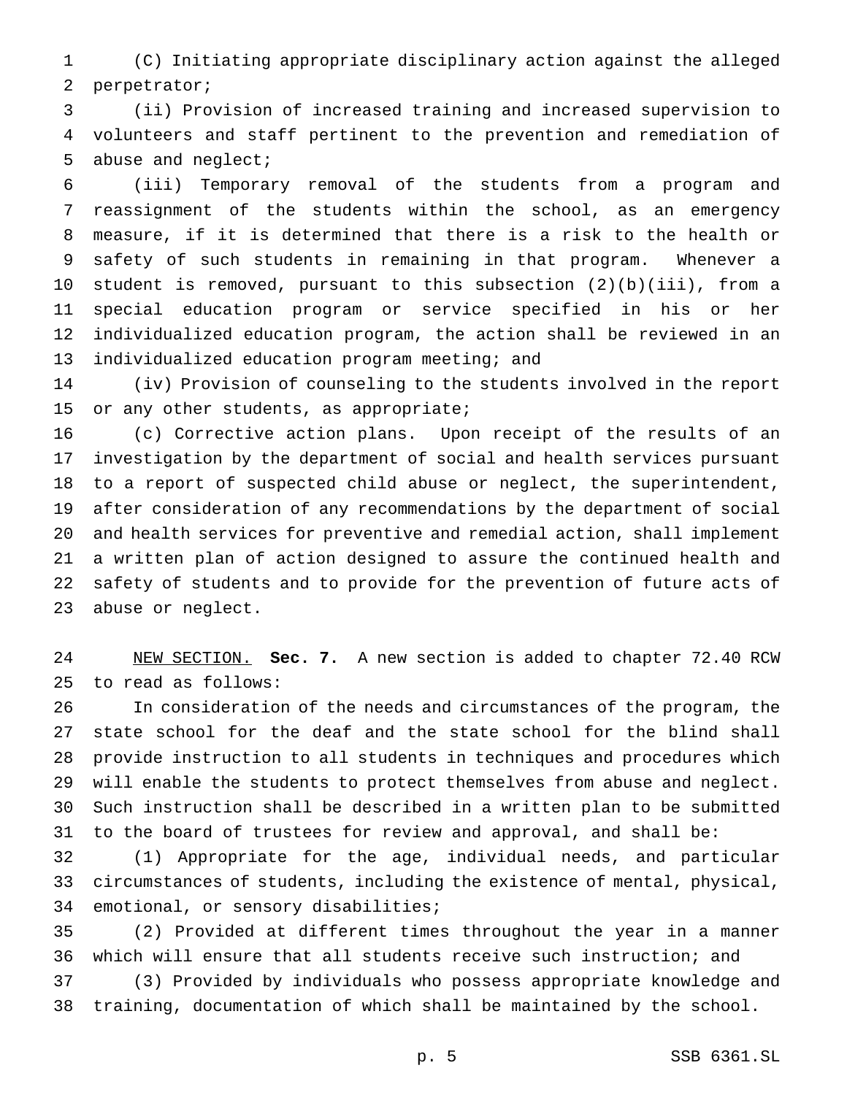(C) Initiating appropriate disciplinary action against the alleged perpetrator;

 (ii) Provision of increased training and increased supervision to volunteers and staff pertinent to the prevention and remediation of abuse and neglect;

 (iii) Temporary removal of the students from a program and reassignment of the students within the school, as an emergency measure, if it is determined that there is a risk to the health or safety of such students in remaining in that program. Whenever a student is removed, pursuant to this subsection (2)(b)(iii), from a special education program or service specified in his or her individualized education program, the action shall be reviewed in an individualized education program meeting; and

 (iv) Provision of counseling to the students involved in the report 15 or any other students, as appropriate;

 (c) Corrective action plans. Upon receipt of the results of an investigation by the department of social and health services pursuant to a report of suspected child abuse or neglect, the superintendent, after consideration of any recommendations by the department of social and health services for preventive and remedial action, shall implement a written plan of action designed to assure the continued health and safety of students and to provide for the prevention of future acts of abuse or neglect.

 NEW SECTION. **Sec. 7.** A new section is added to chapter 72.40 RCW to read as follows:

 In consideration of the needs and circumstances of the program, the state school for the deaf and the state school for the blind shall provide instruction to all students in techniques and procedures which will enable the students to protect themselves from abuse and neglect. Such instruction shall be described in a written plan to be submitted to the board of trustees for review and approval, and shall be:

 (1) Appropriate for the age, individual needs, and particular circumstances of students, including the existence of mental, physical, emotional, or sensory disabilities;

 (2) Provided at different times throughout the year in a manner which will ensure that all students receive such instruction; and (3) Provided by individuals who possess appropriate knowledge and training, documentation of which shall be maintained by the school.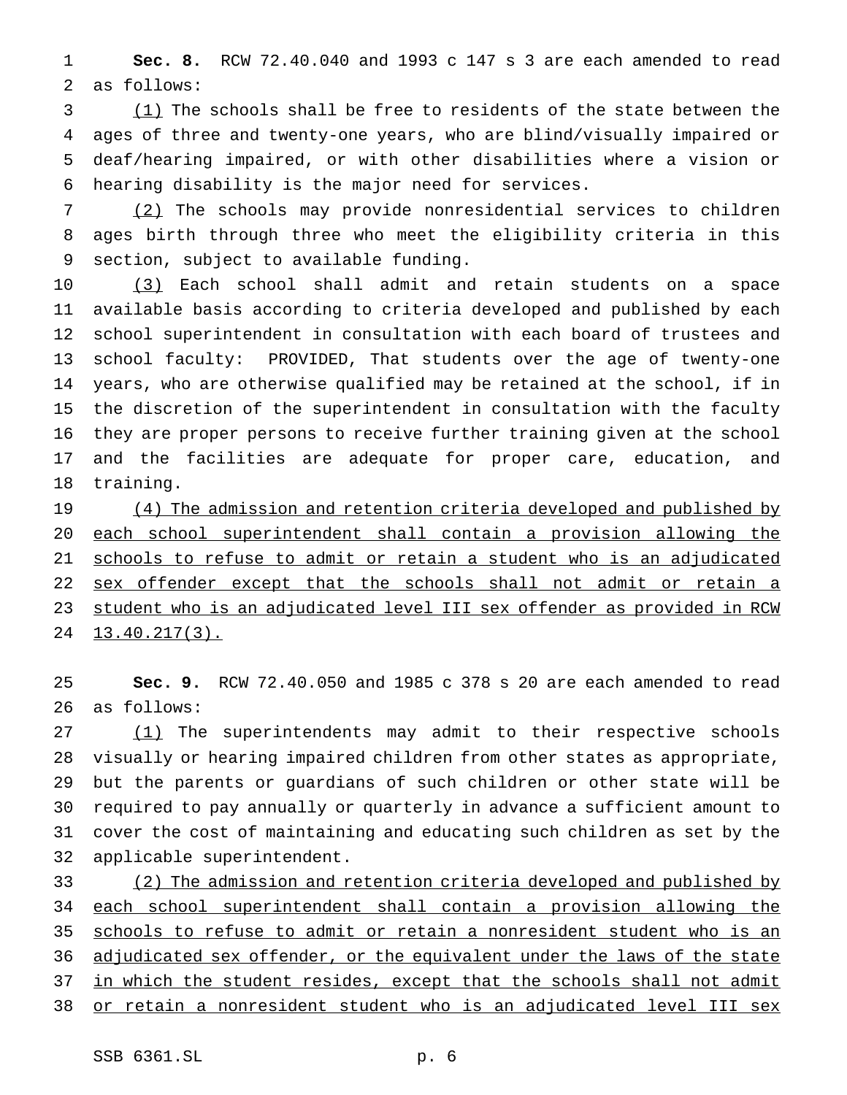**Sec. 8.** RCW 72.40.040 and 1993 c 147 s 3 are each amended to read as follows:

 (1) The schools shall be free to residents of the state between the ages of three and twenty-one years, who are blind/visually impaired or deaf/hearing impaired, or with other disabilities where a vision or hearing disability is the major need for services.

 (2) The schools may provide nonresidential services to children ages birth through three who meet the eligibility criteria in this section, subject to available funding.

 (3) Each school shall admit and retain students on a space available basis according to criteria developed and published by each school superintendent in consultation with each board of trustees and school faculty: PROVIDED, That students over the age of twenty-one years, who are otherwise qualified may be retained at the school, if in the discretion of the superintendent in consultation with the faculty they are proper persons to receive further training given at the school and the facilities are adequate for proper care, education, and training.

19 (4) The admission and retention criteria developed and published by each school superintendent shall contain a provision allowing the 21 schools to refuse to admit or retain a student who is an adjudicated 22 sex offender except that the schools shall not admit or retain a student who is an adjudicated level III sex offender as provided in RCW 24 13.40.217(3).

 **Sec. 9.** RCW 72.40.050 and 1985 c 378 s 20 are each amended to read as follows:

27 (1) The superintendents may admit to their respective schools visually or hearing impaired children from other states as appropriate, but the parents or guardians of such children or other state will be required to pay annually or quarterly in advance a sufficient amount to cover the cost of maintaining and educating such children as set by the applicable superintendent.

 (2) The admission and retention criteria developed and published by each school superintendent shall contain a provision allowing the 35 schools to refuse to admit or retain a nonresident student who is an 36 adjudicated sex offender, or the equivalent under the laws of the state in which the student resides, except that the schools shall not admit 38 or retain a nonresident student who is an adjudicated level III sex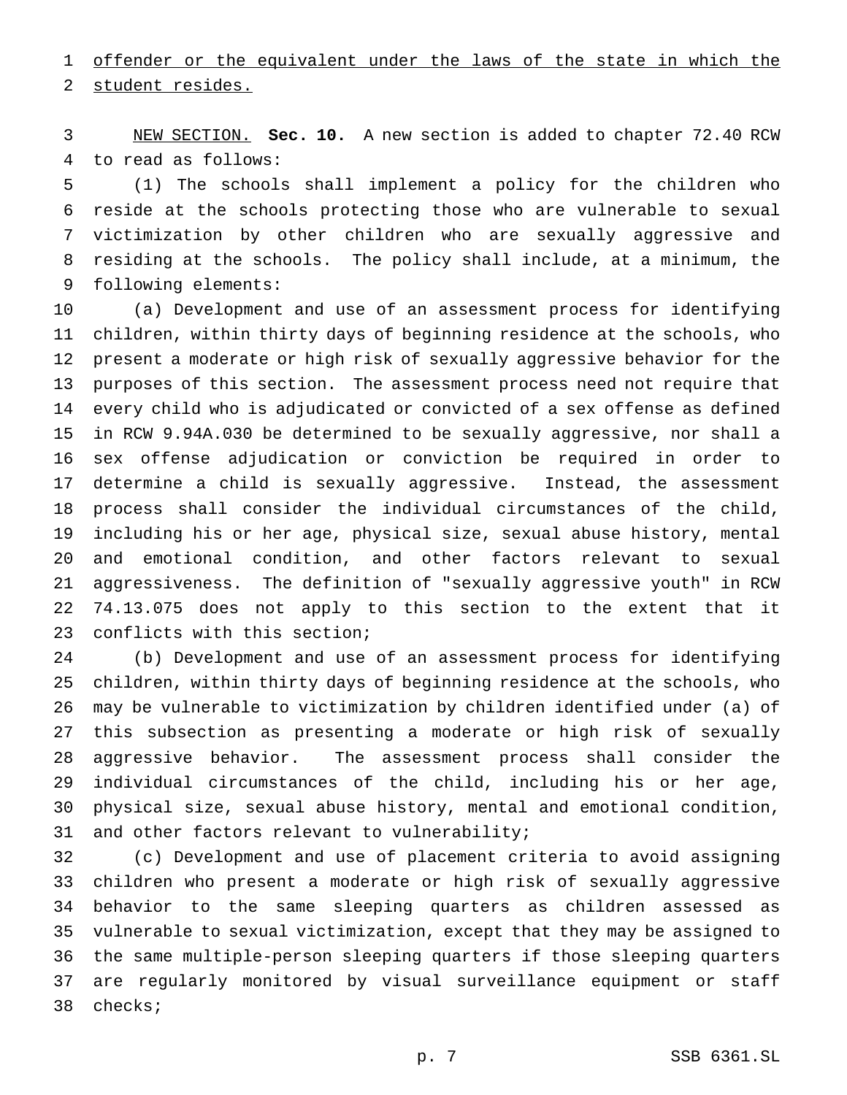1 offender or the equivalent under the laws of the state in which the student resides.

 NEW SECTION. **Sec. 10.** A new section is added to chapter 72.40 RCW to read as follows:

 (1) The schools shall implement a policy for the children who reside at the schools protecting those who are vulnerable to sexual victimization by other children who are sexually aggressive and residing at the schools. The policy shall include, at a minimum, the following elements:

 (a) Development and use of an assessment process for identifying children, within thirty days of beginning residence at the schools, who present a moderate or high risk of sexually aggressive behavior for the purposes of this section. The assessment process need not require that every child who is adjudicated or convicted of a sex offense as defined in RCW 9.94A.030 be determined to be sexually aggressive, nor shall a sex offense adjudication or conviction be required in order to determine a child is sexually aggressive. Instead, the assessment process shall consider the individual circumstances of the child, including his or her age, physical size, sexual abuse history, mental and emotional condition, and other factors relevant to sexual aggressiveness. The definition of "sexually aggressive youth" in RCW 74.13.075 does not apply to this section to the extent that it conflicts with this section;

 (b) Development and use of an assessment process for identifying children, within thirty days of beginning residence at the schools, who may be vulnerable to victimization by children identified under (a) of this subsection as presenting a moderate or high risk of sexually aggressive behavior. The assessment process shall consider the individual circumstances of the child, including his or her age, physical size, sexual abuse history, mental and emotional condition, and other factors relevant to vulnerability;

 (c) Development and use of placement criteria to avoid assigning children who present a moderate or high risk of sexually aggressive behavior to the same sleeping quarters as children assessed as vulnerable to sexual victimization, except that they may be assigned to the same multiple-person sleeping quarters if those sleeping quarters are regularly monitored by visual surveillance equipment or staff checks;